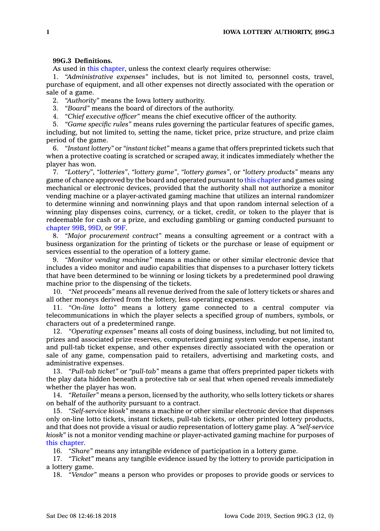## **99G.3 Definitions.**

As used in this [chapter](https://www.legis.iowa.gov/docs/code//99G.pdf), unless the context clearly requires otherwise:

1. *"Administrative expenses"* includes, but is not limited to, personnel costs, travel, purchase of equipment, and all other expenses not directly associated with the operation or sale of <sup>a</sup> game.

2. *"Authority"* means the Iowa lottery authority.

3. *"Board"* means the board of directors of the authority.

4. *"Chief executive officer"* means the chief executive officer of the authority.

5. *"Game specific rules"* means rules governing the particular features of specific games, including, but not limited to, setting the name, ticket price, prize structure, and prize claim period of the game.

6. *"Instant lottery"* or *"instant ticket"* means <sup>a</sup> game that offers preprinted tickets such that when <sup>a</sup> protective coating is scratched or scraped away, it indicates immediately whether the player has won.

7. *"Lottery"*, *"lotteries"*, *"lottery game"*, *"lottery games"*, or *"lottery products"* means any game of chance approved by the board and operated pursuant to this [chapter](https://www.legis.iowa.gov/docs/code//99G.pdf) and games using mechanical or electronic devices, provided that the authority shall not authorize <sup>a</sup> monitor vending machine or <sup>a</sup> player-activated gaming machine that utilizes an internal randomizer to determine winning and nonwinning plays and that upon random internal selection of <sup>a</sup> winning play dispenses coins, currency, or <sup>a</sup> ticket, credit, or token to the player that is redeemable for cash or <sup>a</sup> prize, and excluding gambling or gaming conducted pursuant to [chapter](https://www.legis.iowa.gov/docs/code//99B.pdf) 99B, [99D](https://www.legis.iowa.gov/docs/code//99D.pdf), or [99F](https://www.legis.iowa.gov/docs/code//99F.pdf).

8. *"Major procurement contract"* means <sup>a</sup> consulting agreement or <sup>a</sup> contract with <sup>a</sup> business organization for the printing of tickets or the purchase or lease of equipment or services essential to the operation of <sup>a</sup> lottery game.

9. *"Monitor vending machine"* means <sup>a</sup> machine or other similar electronic device that includes <sup>a</sup> video monitor and audio capabilities that dispenses to <sup>a</sup> purchaser lottery tickets that have been determined to be winning or losing tickets by <sup>a</sup> predetermined pool drawing machine prior to the dispensing of the tickets.

10. *"Net proceeds"* means all revenue derived from the sale of lottery tickets or shares and all other moneys derived from the lottery, less operating expenses.

11. *"On-line lotto"* means <sup>a</sup> lottery game connected to <sup>a</sup> central computer via telecommunications in which the player selects <sup>a</sup> specified group of numbers, symbols, or characters out of <sup>a</sup> predetermined range.

12. *"Operating expenses"* means all costs of doing business, including, but not limited to, prizes and associated prize reserves, computerized gaming system vendor expense, instant and pull-tab ticket expense, and other expenses directly associated with the operation or sale of any game, compensation paid to retailers, advertising and marketing costs, and administrative expenses.

13. *"Pull-tab ticket"* or *"pull-tab"* means <sup>a</sup> game that offers preprinted paper tickets with the play data hidden beneath <sup>a</sup> protective tab or seal that when opened reveals immediately whether the player has won.

14. *"Retailer"* means <sup>a</sup> person, licensed by the authority, who sells lottery tickets or shares on behalf of the authority pursuant to <sup>a</sup> contract.

15. *"Self-service kiosk"* means <sup>a</sup> machine or other similar electronic device that dispenses only on-line lotto tickets, instant tickets, pull-tab tickets, or other printed lottery products, and that does not provide <sup>a</sup> visual or audio representation of lottery game play. A *"self-service kiosk*" is not <sup>a</sup> monitor vending machine or player-activated gaming machine for purposes of this [chapter](https://www.legis.iowa.gov/docs/code//99G.pdf).

16. *"Share"* means any intangible evidence of participation in <sup>a</sup> lottery game.

17. *"Ticket"* means any tangible evidence issued by the lottery to provide participation in <sup>a</sup> lottery game.

18. *"Vendor"* means <sup>a</sup> person who provides or proposes to provide goods or services to